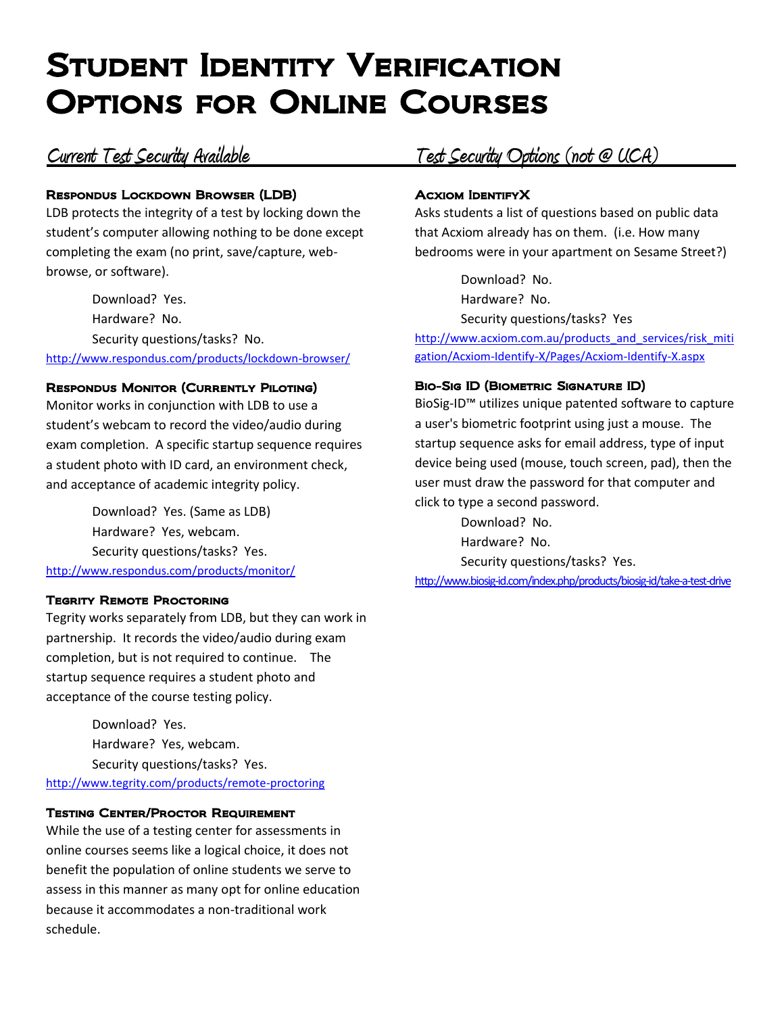# Student Identity Verification Options for Online Courses

### Respondus Lockdown Browser (LDB)

LDB protects the integrity of a test by locking down the student's computer allowing nothing to be done except completing the exam (no print, save/capture, webbrowse, or software).

Download? Yes. Hardware? No. Security questions/tasks? No. <http://www.respondus.com/products/lockdown-browser/>

### Respondus Monitor (Currently Piloting)

Monitor works in conjunction with LDB to use a student's webcam to record the video/audio during exam completion. A specific startup sequence requires a student photo with ID card, an environment check, and acceptance of academic integrity policy.

Download? Yes. (Same as LDB) Hardware? Yes, webcam. Security questions/tasks? Yes. <http://www.respondus.com/products/monitor/>

### **TEGRITY REMOTE PROCTORING**

Tegrity works separately from LDB, but they can work in partnership. It records the video/audio during exam completion, but is not required to continue. The startup sequence requires a student photo and acceptance of the course testing policy.

Download? Yes. Hardware? Yes, webcam. Security questions/tasks? Yes. <http://www.tegrity.com/products/remote-proctoring>

### Testing Center/Proctor Requirement

While the use of a testing center for assessments in online courses seems like a logical choice, it does not benefit the population of online students we serve to assess in this manner as many opt for online education because it accommodates a non-traditional work schedule.

## **Current Test Security Available Test Security Options (not @ UCA)**

### Acxiom IdentifyX

Asks students a list of questions based on public data that Acxiom already has on them. (i.e. How many bedrooms were in your apartment on Sesame Street?)

Download? No. Hardware? No. Security questions/tasks? Yes

[http://www.acxiom.com.au/products\\_and\\_services/risk\\_miti](http://www.acxiom.com.au/products_and_services/risk_mitigation/Acxiom-Identify-X/Pages/Acxiom-Identify-X.aspx) [gation/Acxiom-Identify-X/Pages/Acxiom-Identify-X.aspx](http://www.acxiom.com.au/products_and_services/risk_mitigation/Acxiom-Identify-X/Pages/Acxiom-Identify-X.aspx)

### Bio-Sig ID (Biometric Signature ID)

BioSig-ID™ utilizes unique patented software to capture a user's biometric footprint using just a mouse. The startup sequence asks for email address, type of input device being used (mouse, touch screen, pad), then the user must draw the password for that computer and click to type a second password.

Download? No. Hardware? No. Security questions/tasks? Yes. <http://www.biosig-id.com/index.php/products/biosig-id/take-a-test-drive>